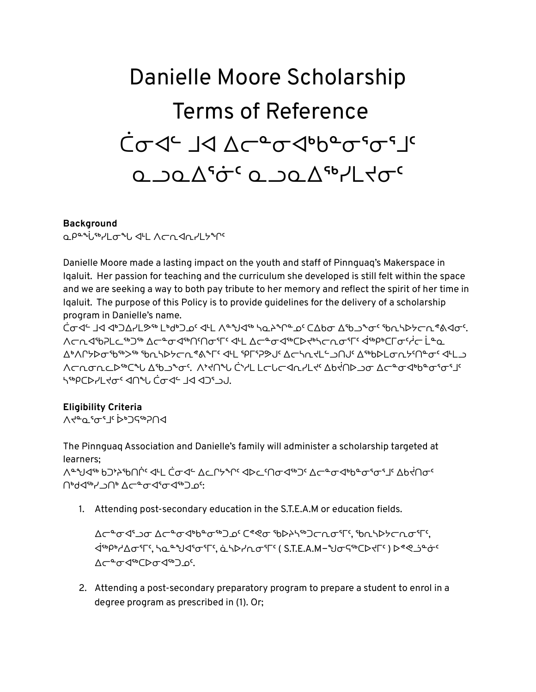# Danielle Moore Scholarship Terms of Reference ᑖᓂᐊᓪ ᒧᐊ ᐃᓕᓐᓂᐊᒃᑲᓐᓂᕐᓂᕐᒧᑦ **Q** JQ Δ'σ<sup>ς</sup> Ω JQ Δ'η Γίας

#### **Background**

**QPªªi·℠"Lo ºL IºL A⊂∩In-ll SºM** 

Danielle Moore made a lasting impact on the youth and staff of Pinnguag's Makerspace in Iqaluit. Her passion for teaching and the curriculum she developed is still felt within the space and we are seeking a way to both pay tribute to her memory and reflect the spirit of her time in Iqaluit. The purpose of this Policy is to provide guidelines for the delivery of a scholarship program in Danielle's name.

ᑖᓂᐊᓪ ᒧᐊ ᐊᒃᑐᐃᓯᒪᕗᖅ ᒪᒃᑯᒃᑐᓄᑦ ᐊᒻᒪ ᐱᓐᖑᐊᖅ ᓴᓇᔨᖏᓐᓄᑦ ᑕᐃᑲᓂ ᐃᖃᓗᖕᓂᑦ ᖃᕆᓴᐅᔭᓕᕆᕝᕕᐊᓂᑦ. ∧ܒܝ≮٩'6פר ⁄רי 19-00ס־17 קייב לינו 12-0ס־19טן לייגרתס־17 לייפיפרס־19טן בנים. ᐃᒃᐱᒋᔭᐅᓂᖃᖅᐳᖅ ᖃᕆᓴᐅᔭᓕᕆᕝᕕᖕᒥᑦ ᐊᒻᒪ ᕿᒥᕐᕈᕗᒍᑦ ᐃᓕᓴᕆᔪᒪᓪᓗᑎᒍᑦ ᐃᖅᑲᐅᒪᓂᕆᔭᑦᑎᓐᓂᑦ ᐊᒻᒪᓗ <u> ∧ᡄᠾᠣᠾ᠆ᢣᢛ᠆ᡕ᠆ᢦᠾᢂᡁᢣᢂ᠂᠆ᠷ᠂ᡒᠰ᠀ᡕ᠀ᢆᠰ᠐ᡄᠾᡏ᠀ᡕ᠗ᡕ᠀ᡕ᠀ᡕ᠀ᢣᡆ᠗ᡕ᠇᠇᠇᠅ᡁᡔᠾ᠗ᡵᠾ᠗ᡵ᠗ᡕ᠗ᡕ᠗ᠷ᠗ᡕ᠗ᠷ᠗ᠷ᠗ᠷ᠗ᠷ᠗ᠷ᠗ᠷ</u> ᓴᖅᑭᑕᐅᓯᒪᔪᓂᑦ ᐊᑎᖓ ᑖᓂᐊᓪ ᒧᐊ ᐊᑐᕐᓗᒍ.

## **Eligibility Criteria**

∧לפט קיים ק

The Pinnguaq Association and Danielle's family will administer a scholarship targeted at learners; ∧ᢡᢧᢦᡏᢦᠾ᠑ᢣᢣᡏᡏ᠓ᢣᢞ᠆᠅ᡆᢞ᠅ᢒᡄ᠘ᠧᢂᢣᡄᡙᡉᡏ᠉᠘᠆ᡒᢁᡕᢀᡛᡉᢞᡉᡲᠾ᠘ᡉᡲ᠓ ᑎᒃᑯᐊᖅᓯᓗᑎᒃ ᐃᓕᓐᓂᐊᕐᓂᐊᖅᑐᓄᑦ:

1. Attending post-secondary education in the S.T.E.A.M or education fields.

∆ᠿ᠆ᢆᡋ᠂ᡗᡤᢀ᠉᠑᠅ᡬ᠅ᢀᠪ᠅ᠪᢠᢀᡃ᠅ ᐋᖅᑭᒃᓱᐃᓂᕐᒥᑦ, ᓴᓇᓐᖑᐊᕐᓂᕐᒥᑦ, ᓈᓴᐅᓯᕆᓂᕐᒥᑦ ( S.T.E.A.M−ᖑᓂᕋᖅᑕᐅᔪᒥᑦ ) ᐅᕝᕙᓘᓐᓃᑦ ∆<del>⊂</del>≗ơI⊕ა საქმ⊃ა

2. Attending a post-secondary preparatory program to prepare a student to enrol in a degree program as prescribed in (1). Or;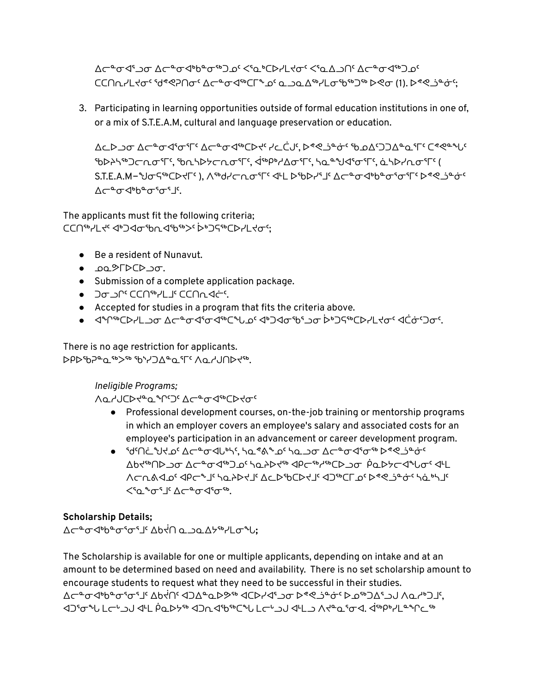∆ܒ°ܡ≮'ז ܐܠܒAءܐ') د (<۵-۵) د که اجام د کور کا اجراء حاضر است که د است که د ا ᑕᑕᑎᕆᓯᒪᔪᓂᑦ ᖁᕝᕙᕈᑎᓂᑦ ᐃᓕᓐᓂᐊᖅᑕᒥᖕᓄᑦ ᓇᓗᓇᐃᖅᓯᒪᓂᖃᖅᑐᖅ ᐅᕙᓂ (1). ᐅᕝᕙᓘᓐᓃᑦ;

3. Participating in learning opportunities outside of formal education institutions in one of, or a mix of S.T.E.A.M, cultural and language preservation or education.

 $\Delta$ ()  $\Delta$ ص  $\Delta$ ص $\Delta$ م ط $\Delta$ وح وحوح وا $\Delta$ وح وا $\Delta$ ي وحرف والي محرف وضع وحص وحص وحص وحص وحص وحص وحص ᖃᐅᔨᓴᖅᑐᓕᕆᓂᕐᒥᑦ, ᖃᕆᓴᐅᔭᓕᕆᓂᕐᒥᑦ, ᐋᖅᑭᒃᓱᐃᓂᕐᒥᑦ, ᓴᓇᓐᖑᐊᕐᓂᕐᒥᑦ, ᓈᓴᐅᓯᕆᓂᕐᒥᑦ ( S.T.E.A.M−ᢤᡕᡋᠲᡩᡄᢂᡕᡩᢂᡃ᠂᠗ᡕᢀᢣᡆ᠅ᡘᡕ᠖ᢣᡗᢋ᠘ᡄ᠗ᡁᢄᡕᠷᠷᠷᠷᠷᠷᠷᠷᠷᠷᠷᠷᠷᠷᠷᠷᠷᠷᠷᠷᠷᠷᠷᠷᠷᠷᠷᠷᠷᠷᠷᠷᠷᠷᠷ ᠘ᡕ᠆ᢡᡉᡏᢀᡃᡉᠲ᠖

The applicants must fit the following criteria; ᑕᑕᑎᖅᓯᒪᔪᑦ ᐊᒃᑐᐊᓂᖃᕆᐊᖃᖅᐳᑦ ᐆᒃᑐᕋᖅᑕᐅᓯᒪᔪᓂᑦ;

- Be a resident of Nunavut.
- <del>J</del>Q&FDCD
- Submission of a complete application package.
- <del>⊃</del> o⊃r°⊂CN®YLJ'CCNn<
- Accepted for studies in a program that fits the criteria above.
- ᐊᖏᖅᑕᐅᓯᒪᓗᓂ ᐃᓕᓐᓂᐊᕐᓂᐊᖅᑕᖓᓄᑦ ᐊᒃᑐᐊᓂᖃᕐᓗᓂ ᐆᒃᑐᕋᖅᑕᐅᓯᒪᔪᓂᑦ ᐊᑖᓃᑦᑐᓂᑦ.

There is no age restriction for applicants. ᐅᑭᐅᖃᕈᓐᓇᖅᐳᖅ ᖃᔅᓯᑐᐃᓐᓇᕐᒥᑦ ᐱᓇᓱᒍᑎᐅᔪᖅ.

*Ineligible Programs;*

**Λ**ႭჄႮႠϷ<del>ᡪ</del>ჼႭჼՐჼჂჼ ∆<del>ϲ</del>ჼϭ*Ϥ*ჼჼႠϷᡲϭჼ

- Professional development courses, on-the-job training or mentorship programs in which an employer covers an employee's salary and associated costs for an employee's participation in an advancement or career development program.
- ᖁᑦᑎᓛᖑᔪᓄᑦ ᐃᓕᓐᓂᐊᒐᒃᓴᑦ, ᓴᓇᕝᕕᖕᓄᑦ ᓴᓇᓗᓂ ᐃᓕᓐᓂᐊᕐᓂᖅ ᐅᕝᕙᓘᓐᓃᑦ ᐃᑲᔪᖅᑎᐅᓗᓂ ᐃᓕᓐᓂᐊᖅᑐᓄᑦ ᓴᓇᔨᐅᔪᖅ ᐊᑭᓕᖅᓱᖅᑕᐅᓗᓂ ᑮᓇᐅᔭᓕᐊᖓᓂᑦ ᐊᒻᒪ ᐱᓕᕆᕕᐊᓄᑦ ᐊᑭᓕᖕᒧᑦ ᓴᓇᔨᐅᔪᒧᑦ ᐃᓚᐅᖃᑕᐅᔪᒧᑦ ᐊᑐᖅᑕᒥᓄᑦ ᐅᕝᕙᓘᓐᓃᑦ ᓴᓈᒃᓴᒧᑦ ≤'Ω°∿°' ∆⊂°°O √'0°'.

## **Scholarship Details;**

ᐃᓕᓐᓂᐊᒃᑲᓐᓂᕐᓂᕐᒧᑦ ᐃᑲᔫᑎ ᓇᓗᓇᐃᔭᖅᓯᒪᓂᖓ**;**

The Scholarship is available for one or multiple applicants, depending on intake and at an amount to be determined based on need and availability. There is no set scholarship amount to encourage students to request what they need to be successful in their studies. ᐃᓕᓐᓂᐊᒃᑲᓐᓂᕐᓂᕐᒧᑦ ᐃᑲᔫᑎᑦ ᐊᑐᐃᓐᓇᐅᕗᖅ ᐊᑕᐅᓯᐊᕐᓗᓂ ᐅᕝᕙᓘᓐᓃᑦ ᐅᓄᖅᑐᐃᕐᓗᒍ ᐱᓇᓱᒃᑐᒧᑦ, ᐊᑐᕐᓂᖓ ᒪᓕᒡᓗᒍ ᐊᒻᒪ ᑮᓇᐅᔭᖅ ᐊᑐᕆᐊᖃᖅᑕᖓ ᒪᓕᒡᓗᒍ ᐊᒻᒪᓗ ᐱᔪᓐᓇᕐᓂᐊ. ᐋᖅᑭᒃᓯᒪᓐᖏᓚᖅ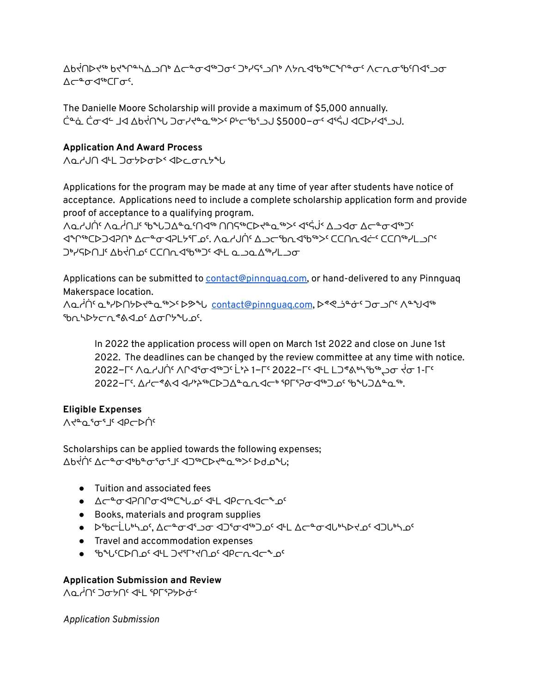∆Ხ₹∩⊳ל • ∀די איירי אבי לכ • לייט לאקלי ∆⊂≞o⊲

The Danielle Moore Scholarship will provide a maximum of \$5,000 annually. ᑖᓐᓈ ᑖᓂᐊᓪ ᒧᐊ ᐃᑲᔫᑎᖓ ᑐᓂᓯᔪᓐᓇᖅᐳᑦ ᑭᒡᓕᖃᕐᓗᒍ \$5000−ᓂᑦ ᐊᕐᕌᒍ ᐊᑕᐅᓯᐊᕐᓗᒍ.

### **Application And Award Process**

ᐱᓇᓱᒍᑎ ᐊᒻᒪ ᑐᓂᔭᐅᓂᐅᑉ ᐊᐅᓚᓂᕆᔭᖓ

Applications for the program may be made at any time of year after students have notice of acceptance. Applications need to include a complete scholarship application form and provide proof of acceptance to a qualifying program.

ᐱᓇᓱᒍᑏᑦ ᐱᓇᓲᑎᒧᑦ ᖃᖓᑐᐃᓐᓇᑦᑎᐊᖅ ᑎᑎᕋᖅᑕᐅᔪᓐᓇᖅᐳᑦ ᐊᕐᕌᒎᑉ ᐃᓗᐊᓂ ᐃᓕᓐᓂᐊᖅᑐᑦ ᐊᖏᖅᑕᐅᑐᐊᕈᑎᒃ ᐃᓕᓐᓂᐊᕈᒪᔭᕐᒥᓄᑦ. ᐱᓇᓱᒍᑏᑦ ᐃᓗᓕᖃᕆᐊᖃᖅᐳᑦ ᑕᑕᑎᕆᐊᓖᑦ ᑕᑕᑎᖅᓯᒪᓗᒋᑦ ∩קר ⊥ולייץ סני ום ∟וילים סליך של חלקים של ה

Applications can be submitted to contact@pinnquaq.com, or hand-delivered to any Pinnguaq Makerspace location.

ᐱᓇᓲᑏᑦ ᓇᒃᓯᐅᑎᔭᐅᔪᓐᓇᖅᐳᑦ ᐅᕗᖓ [contact@pinnguaq.com](mailto:contact@pinnguaq.com), ᐅᕝᕙᓘᓐᓃᑦ ᑐᓂᓗᒋᑦ ᐱᓐᖑᐊᖅ ᖃᕆᓴᐅᔭᓕᕆᕝᕕᐊᓄᑦ ᐃᓂᒋᔭᖓᓄᑦ.

In 2022 the application process will open on March 1st 2022 and close on June 1st 2022. The deadlines can be changed by the review committee at any time with notice. 2022−୮ ∧طלטן ֹי ∧רליסלי״⊃י בי≻ 1−ך 2022−ך יליב בו בו איילישי אס לסי 2022−ᒥᑦ. ᐃᓱᓕᕝᕕᐊ ᐊᓯᔾᔨᖅᑕᐅᑐᐃᓐᓇᕆᐊᓕᒃ ᕿᒥᕐᕈᓂᐊᖅᑐᓄᑦ ᖃᖓᑐᐃᓐᓇᖅ.

## **Eligible Expenses**

∧לق <sup>ק</sup>ים יה ⊲do

Scholarships can be applied towards the following expenses; ∆Ხ₹ስ٬ ∆ᡄقصطەلەتون"، ⊲ئەدلە*≮ق ھە>د* لە

- Tuition and associated fees
- ∆⊂ºơIPNCT JPC JPCNT JC
- Books, materials and program supplies
- ᢧᡩᡉᡄᡄᢆᡶᠣᡃᡪᠴᡬ᠂ᡘᡄ᠆ᢐᢦᡏᡲᠴᠥ᠂ᡆ᠑ᡏᠥᡏᡑ᠑᠖᠂ᡏᠷᡏᡏ᠆ᡐᡄ᠆ᢐᢦᡏᠾᢣᠰᢣᡩ
- Travel and accommodation expenses
- ᖃᖓᑦᑕᐅᑎᓄᑦ ᐊᒻᒪ ᑐᔪᕐᒥᔾᔪᑎᓄᑦ ᐊᑭᓕᕆᐊᓕᖕᓄᑦ

## **Application Submission and Review**

∧Q קביק קאב

*Application Submission*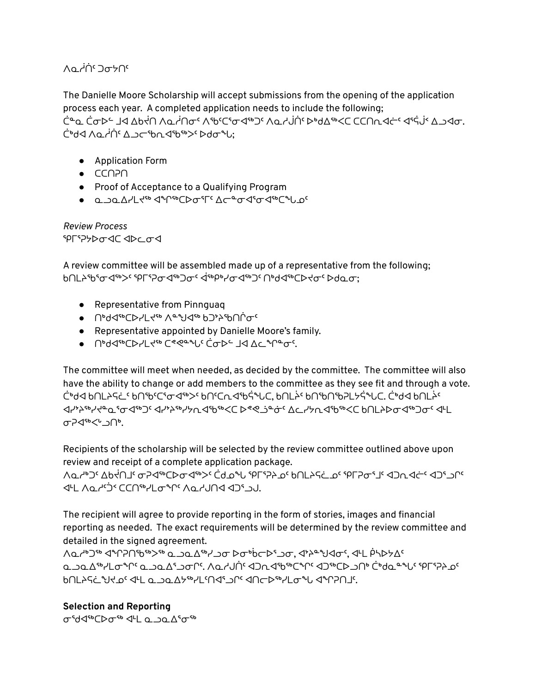## ∩⊿ ضطر ∩∧o

The Danielle Moore Scholarship will accept submissions from the opening of the application process each year. A completed application needs to include the following; <u>َّرُم C לסד4 IS לאלח ∧ם לחסי</u> ∧ינויכיס שיים ∧ם לטון לאשלי כלכחת של־י שיק לי ∆ Ċʰd◁ *∧* Q~i (`∆) ⊂ʻb∩◁ˁbˤʰ> > bdσ<sup>ኈ</sup>U:

- Application Form
- $\bullet$   $CCOP$
- Proof of Acceptance to a Qualifying Program
- ᓇᓗᓇᐃᓯᒪᔪᖅ ᐊᖏᖅᑕᐅᓂᕐᒥᑦ ᐃᓕᓐᓂᐊᕐᓂᐊᖅᑕᖓᓄᑦ

*Review Process* ᕿᒥᕐᕈᔭᐅᓂᐊᑕ ᐊᐅᓚᓂᐊ

A review committee will be assembled made up of a representative from the following; <u>ᲮᲘᲡ</u>ᲞჼᲮჼ<del>ჿ</del>よჼჼᲐ~ ჼႷႠჼჂႫႺჃჼႦႳჿႺႷჼჼჽႷႻჽჀႷჼႭႭႭჽ

- Representative from Pinnguaq
- ᑎᒃᑯᐊᖅᑕᐅᓯᒪᔪᖅ ᐱᓐᖑᐊᖅ ᑲᑐᔾᔨᖃᑎᒌᓂᑦ
- Representative appointed by Danielle Moore's family.
- ᑎᒃᑯᐊᖅᑕᐅᓯᒪᔪᖅ ᑕᕝᕙᓐᖓᑦ ᑖᓂᐅᓪ ᒧᐊ ᐃᓚᖏᓐᓂᑦ.

The committee will meet when needed, as decided by the committee. The committee will also have the ability to change or add members to the committee as they see fit and through a vote. ᑖᒃᑯᐊ ᑲᑎᒪᔨᕋᓛᑦ ᑲᑎᖃᑦᑕᕐᓂᐊᖅᐳᑦ ᑲᑎᑦᑕᕆᐊᖃᕌᖓᑕ, ᑲᑎᒪᔩᑦ ᑲᑎᖃᑎᖃᕈᒪᔭᕌᖓᑕ. ᑖᒃᑯᐊ ᑲᑎᒪᔩᑦ ᐊᓯᔾᔨᖅᓯᔪᓐᓇᕐᓂᐊᖅᑐᑦ ᐊᓯᔾᔨᖅᓯᔭᕆᐊᖃᖅᐸᑕ ᐅᕝᕙᓘᓐᓃᑦ ᐃᓚᓯᔭᕆᐊᖃᖅᐸᑕ ᑲᑎᒪᔨᐅᓂᐊᖅᑐᓂᑦ ᐊᒻᒪ ᓂᕈᐊᖅᐸᒡᓗᑎᒃ.

Recipients of the scholarship will be selected by the review committee outlined above upon review and receipt of a complete application package.

∧طنّ كك ∕hódºd ar an i dan dary i أ^طح الله عن المسابق المسابق المسابق المسابق المسابق المسابق المسابق المسابق<br>المراجع IL ∧Q~``^ CCN®YLo®^`^^^^^

The recipient will agree to provide reporting in the form of stories, images and financial reporting as needed. The exact requirements will be determined by the review committee and detailed in the signed agreement.

ΛQ ινιος Ϥάλλεν ο ω Δήλωσ να τη στηλασία στηλασή στηλασή. Αν φηριάς ᓇᓗᓇᐃᖅᓯᒪᓂᖏᑦ ᓇᓗᓇᐃᕐᓗᓂᒋᑦ. ᐱᓇᓱᒍᑏᑦ ᐊᑐᕆᐊᖃᖅᑕᖏᑦ ᐊᑐᖅᑕᐅᓗᑎᒃ ᑖᒃᑯᓇᓐᖓᑦ ᕿᒥᕐᕈᔨᓄᑦ ᑲᑎᒪᔨᕋᓛᖑᔪᓄᑦ ᐊᒻᒪ ᓇᓗᓇᐃᔭᖅᓯᒪᑦᑎᐊᕐᓗᒋᑦ ᐊᑎᓕᐅᖅᓯᒪᓂᖓ ᐊᖏᕈᑎᒧᑦ.

#### **Selection and Reporting**

σεd<βσεν <1L α ΩαΔεσε